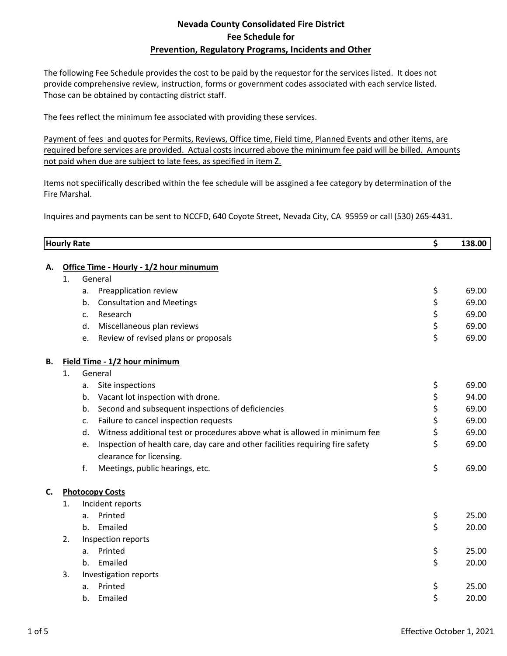## **Nevada County Consolidated Fire District Fee Schedule for Prevention, Regulatory Programs, Incidents and Other**

The following Fee Schedule provides the cost to be paid by the requestor for the services listed. It does not provide comprehensive review, instruction, forms or government codes associated with each service listed. Those can be obtained by contacting district staff.

The fees reflect the minimum fee associated with providing these services.

Payment of fees and quotes for Permits, Reviews, Office time, Field time, Planned Events and other items, are required before services are provided. Actual costs incurred above the minimum fee paid will be billed. Amounts not paid when due are subject to late fees, as specified in item Z.

Items not speciifically described within the fee schedule will be assgined a fee category by determination of the Fire Marshal.

Inquires and payments can be sent to NCCFD, 640 Coyote Street, Nevada City, CA 95959 or call (530) 265‐4431.

|    | <b>Hourly Rate</b>                      |         |                                                                                | \$ | 138.00 |  |
|----|-----------------------------------------|---------|--------------------------------------------------------------------------------|----|--------|--|
| А. | Office Time - Hourly - 1/2 hour minumum |         |                                                                                |    |        |  |
|    | General<br>1.                           |         |                                                                                |    |        |  |
|    |                                         | a.      | Preapplication review                                                          | \$ | 69.00  |  |
|    |                                         | b.      | <b>Consultation and Meetings</b>                                               | \$ | 69.00  |  |
|    |                                         | c.      | Research                                                                       | \$ | 69.00  |  |
|    |                                         | d.      | Miscellaneous plan reviews                                                     | \$ | 69.00  |  |
|    |                                         | e.      | Review of revised plans or proposals                                           | \$ | 69.00  |  |
| В. | Field Time - 1/2 hour minimum           |         |                                                                                |    |        |  |
|    | 1.                                      | General |                                                                                |    |        |  |
|    |                                         | a.      | Site inspections                                                               | \$ | 69.00  |  |
|    |                                         | b.      | Vacant lot inspection with drone.                                              | \$ | 94.00  |  |
|    |                                         | b.      | Second and subsequent inspections of deficiencies                              | \$ | 69.00  |  |
|    |                                         | c.      | Failure to cancel inspection requests                                          | \$ | 69.00  |  |
|    |                                         | d.      | Witness additional test or procedures above what is allowed in minimum fee     | \$ | 69.00  |  |
|    |                                         | e.      | Inspection of health care, day care and other facilities requiring fire safety | \$ | 69.00  |  |
|    |                                         |         | clearance for licensing.                                                       |    |        |  |
|    |                                         | f.      | Meetings, public hearings, etc.                                                | \$ | 69.00  |  |
| C. | <b>Photocopy Costs</b>                  |         |                                                                                |    |        |  |
|    | 1.                                      |         | Incident reports                                                               |    |        |  |
|    |                                         | a.      | Printed                                                                        | \$ | 25.00  |  |
|    |                                         | b.      | Emailed                                                                        | \$ | 20.00  |  |
|    | 2.                                      |         | Inspection reports                                                             |    |        |  |
|    |                                         | a.      | Printed                                                                        | \$ | 25.00  |  |
|    |                                         | $h_{-}$ | Emailed                                                                        | \$ | 20.00  |  |
|    | 3.                                      |         | Investigation reports                                                          |    |        |  |
|    |                                         | a.      | Printed                                                                        | \$ | 25.00  |  |
|    |                                         | b.      | Emailed                                                                        | \$ | 20.00  |  |
|    |                                         |         |                                                                                |    |        |  |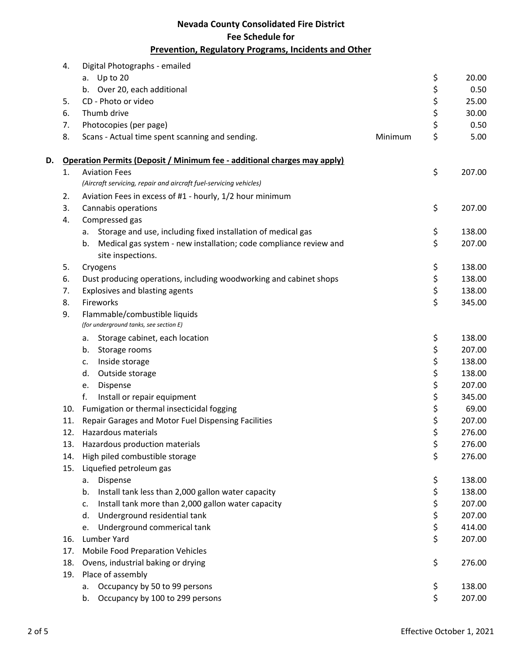## **Nevada County Consolidated Fire District Fee Schedule for Prevention, Regulatory Programs, Incidents and Other**

|    | 4.  | Digital Photographs - emailed                                                                |        |        |
|----|-----|----------------------------------------------------------------------------------------------|--------|--------|
|    |     | a. Up to 20                                                                                  | \$     | 20.00  |
|    |     | b. Over 20, each additional                                                                  | \$     | 0.50   |
|    | 5.  | CD - Photo or video                                                                          |        | 25.00  |
|    | 6.  | Thumb drive                                                                                  | \$\$\$ | 30.00  |
|    | 7.  | Photocopies (per page)                                                                       |        | 0.50   |
|    | 8.  | Scans - Actual time spent scanning and sending.<br>Minimum                                   | \$     | 5.00   |
| D. |     | Operation Permits (Deposit / Minimum fee - additional charges may apply)                     |        |        |
|    | 1.  | <b>Aviation Fees</b>                                                                         | \$     | 207.00 |
|    |     | (Aircraft servicing, repair and aircraft fuel-servicing vehicles)                            |        |        |
|    | 2.  | Aviation Fees in excess of #1 - hourly, 1/2 hour minimum                                     |        |        |
|    | 3.  | Cannabis operations                                                                          | \$     | 207.00 |
|    | 4.  | Compressed gas                                                                               |        |        |
|    |     | Storage and use, including fixed installation of medical gas<br>а.                           | \$     | 138.00 |
|    |     | Medical gas system - new installation; code compliance review and<br>b.<br>site inspections. | \$     | 207.00 |
|    | 5.  | Cryogens                                                                                     | \$     | 138.00 |
|    | 6.  | Dust producing operations, including woodworking and cabinet shops                           | \$     | 138.00 |
|    | 7.  | Explosives and blasting agents                                                               | \$     | 138.00 |
|    | 8.  | Fireworks                                                                                    | \$     | 345.00 |
|    | 9.  | Flammable/combustible liquids<br>(for underground tanks, see section E)                      |        |        |
|    |     | Storage cabinet, each location<br>a.                                                         | \$     | 138.00 |
|    |     | Storage rooms<br>b.                                                                          | \$     | 207.00 |
|    |     | Inside storage<br>c.                                                                         | \$     | 138.00 |
|    |     | Outside storage<br>d.                                                                        | \$     | 138.00 |
|    |     | Dispense<br>e.                                                                               | \$     | 207.00 |
|    |     | f.<br>Install or repair equipment                                                            | \$     | 345.00 |
|    | 10. | Fumigation or thermal insecticidal fogging                                                   | \$     | 69.00  |
|    | 11. | Repair Garages and Motor Fuel Dispensing Facilities                                          | \$     | 207.00 |
|    | 12. | Hazardous materials                                                                          | \$     | 276.00 |
|    | 13. | Hazardous production materials                                                               | \$     | 276.00 |
|    | 14. | High piled combustible storage                                                               | \$     | 276.00 |
|    | 15. | Liquefied petroleum gas                                                                      |        |        |
|    |     | Dispense<br>а.                                                                               | \$     | 138.00 |
|    |     | Install tank less than 2,000 gallon water capacity<br>b.                                     | \$     | 138.00 |
|    |     | Install tank more than 2,000 gallon water capacity<br>c.                                     | \$     | 207.00 |
|    |     | Underground residential tank<br>d.                                                           | \$     | 207.00 |
|    |     | Underground commerical tank<br>e.                                                            | \$     | 414.00 |
|    | 16. | Lumber Yard                                                                                  | \$     | 207.00 |
|    | 17. | <b>Mobile Food Preparation Vehicles</b>                                                      |        |        |
|    | 18. | Ovens, industrial baking or drying                                                           | \$     | 276.00 |
|    | 19. | Place of assembly                                                                            |        |        |
|    |     | Occupancy by 50 to 99 persons<br>а.                                                          | \$     | 138.00 |
|    |     | Occupancy by 100 to 299 persons<br>b.                                                        | \$     | 207.00 |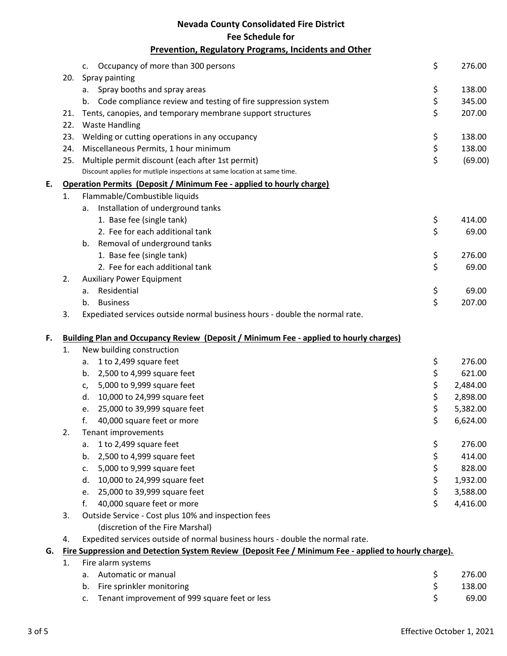|    |     | <b>Nevada County Consolidated Fire District</b>                                                      |    |          |  |  |  |
|----|-----|------------------------------------------------------------------------------------------------------|----|----------|--|--|--|
|    |     | <b>Fee Schedule for</b>                                                                              |    |          |  |  |  |
|    |     | <b>Prevention, Regulatory Programs, Incidents and Other</b>                                          |    |          |  |  |  |
|    |     |                                                                                                      |    |          |  |  |  |
|    |     | Occupancy of more than 300 persons<br>$\mathsf{C}$ .                                                 | \$ | 276.00   |  |  |  |
|    | 20. | Spray painting                                                                                       |    |          |  |  |  |
|    |     | Spray booths and spray areas<br>а.                                                                   | \$ | 138.00   |  |  |  |
|    |     | Code compliance review and testing of fire suppression system<br>b.                                  | \$ | 345.00   |  |  |  |
|    | 21. | Tents, canopies, and temporary membrane support structures                                           | \$ | 207.00   |  |  |  |
|    | 22. | <b>Waste Handling</b>                                                                                |    |          |  |  |  |
|    | 23. | Welding or cutting operations in any occupancy                                                       | \$ | 138.00   |  |  |  |
|    | 24. | Miscellaneous Permits, 1 hour minimum                                                                | \$ | 138.00   |  |  |  |
|    | 25. | Multiple permit discount (each after 1st permit)                                                     | \$ | (69.00)  |  |  |  |
|    |     | Discount applies for mutliple inspections at same location at same time.                             |    |          |  |  |  |
| E. |     | Operation Permits (Deposit / Minimum Fee - applied to hourly charge)                                 |    |          |  |  |  |
|    | 1.  | Flammable/Combustible liquids                                                                        |    |          |  |  |  |
|    |     | Installation of underground tanks<br>a.                                                              |    |          |  |  |  |
|    |     | 1. Base fee (single tank)                                                                            | \$ | 414.00   |  |  |  |
|    |     | 2. Fee for each additional tank                                                                      | \$ | 69.00    |  |  |  |
|    |     | Removal of underground tanks<br>b.                                                                   |    |          |  |  |  |
|    |     | 1. Base fee (single tank)                                                                            | \$ | 276.00   |  |  |  |
|    |     | 2. Fee for each additional tank                                                                      | \$ | 69.00    |  |  |  |
|    | 2.  | <b>Auxiliary Power Equipment</b>                                                                     |    |          |  |  |  |
|    |     | Residential<br>а.                                                                                    | \$ | 69.00    |  |  |  |
|    |     | <b>Business</b><br>b.                                                                                | \$ | 207.00   |  |  |  |
|    | 3.  | Expediated services outside normal business hours - double the normal rate.                          |    |          |  |  |  |
|    |     |                                                                                                      |    |          |  |  |  |
| F. |     | <b>Building Plan and Occupancy Review (Deposit / Minimum Fee - applied to hourly charges)</b>        |    |          |  |  |  |
|    | 1.  | New building construction                                                                            |    |          |  |  |  |
|    |     | 1 to 2,499 square feet<br>a.                                                                         | \$ | 276.00   |  |  |  |
|    |     | 2,500 to 4,999 square feet<br>b.                                                                     | \$ | 621.00   |  |  |  |
|    |     | 5,000 to 9,999 square feet<br>c,                                                                     | \$ | 2,484.00 |  |  |  |
|    |     | 10,000 to 24,999 square feet<br>d.                                                                   | \$ | 2,898.00 |  |  |  |
|    |     | 25,000 to 39,999 square feet<br>e.                                                                   | \$ | 5,382.00 |  |  |  |
|    |     | f.<br>40,000 square feet or more                                                                     | \$ | 6,624.00 |  |  |  |
|    | 2.  | Tenant improvements                                                                                  |    |          |  |  |  |
|    |     | 1 to 2,499 square feet<br>а.                                                                         | \$ | 276.00   |  |  |  |
|    |     | 2,500 to 4,999 square feet<br>b.                                                                     | \$ | 414.00   |  |  |  |
|    |     | 5,000 to 9,999 square feet<br>c.                                                                     | \$ | 828.00   |  |  |  |
|    |     | 10,000 to 24,999 square feet<br>d.                                                                   | \$ | 1,932.00 |  |  |  |
|    |     | 25,000 to 39,999 square feet<br>e.                                                                   | \$ | 3,588.00 |  |  |  |
|    |     | f.<br>40,000 square feet or more                                                                     | \$ | 4,416.00 |  |  |  |
|    | 3.  | Outside Service - Cost plus 10% and inspection fees                                                  |    |          |  |  |  |
|    |     | (discretion of the Fire Marshal)                                                                     |    |          |  |  |  |
|    | 4.  | Expedited services outside of normal business hours - double the normal rate.                        |    |          |  |  |  |
| G. |     | Fire Suppression and Detection System Review (Deposit Fee / Minimum Fee - applied to hourly charge). |    |          |  |  |  |
|    | 1.  | Fire alarm systems                                                                                   |    |          |  |  |  |
|    |     | Automatic or manual<br>a.                                                                            | \$ | 276.00   |  |  |  |
|    |     | Fire sprinkler monitoring<br>b.                                                                      | \$ | 138.00   |  |  |  |
|    |     | Tenant improvement of 999 square feet or less<br>c.                                                  | \$ | 69.00    |  |  |  |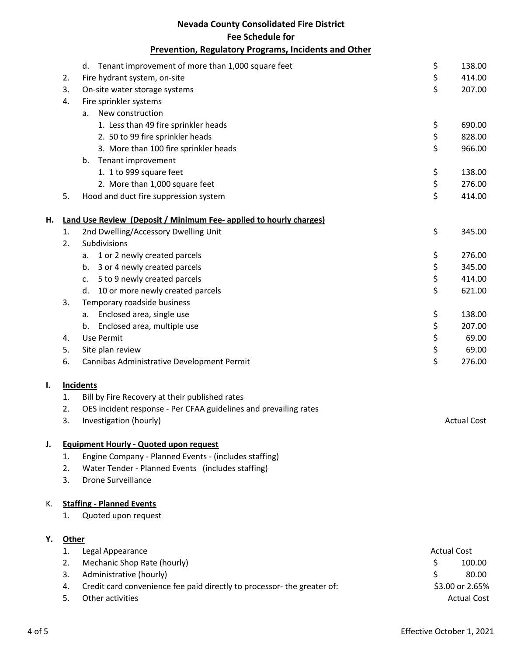|                                                      |              | <b>Nevada County Consolidated Fire District</b>                           |                    |                    |  |  |  |
|------------------------------------------------------|--------------|---------------------------------------------------------------------------|--------------------|--------------------|--|--|--|
|                                                      |              | <b>Fee Schedule for</b>                                                   |                    |                    |  |  |  |
|                                                      |              | <b>Prevention, Regulatory Programs, Incidents and Other</b>               |                    |                    |  |  |  |
|                                                      |              | Tenant improvement of more than 1,000 square feet<br>d.                   | \$                 | 138.00             |  |  |  |
|                                                      | 2.           | Fire hydrant system, on-site                                              | \$                 | 414.00             |  |  |  |
|                                                      | 3.           | On-site water storage systems                                             | \$                 | 207.00             |  |  |  |
|                                                      | 4.           | Fire sprinkler systems                                                    |                    |                    |  |  |  |
|                                                      |              | a. New construction                                                       |                    |                    |  |  |  |
|                                                      |              | 1. Less than 49 fire sprinkler heads                                      | \$                 | 690.00             |  |  |  |
|                                                      |              | 2. 50 to 99 fire sprinkler heads                                          | \$                 | 828.00             |  |  |  |
|                                                      |              | 3. More than 100 fire sprinkler heads                                     | \$                 | 966.00             |  |  |  |
|                                                      |              | Tenant improvement<br>b.                                                  |                    |                    |  |  |  |
|                                                      |              | 1. 1 to 999 square feet                                                   | \$                 | 138.00             |  |  |  |
|                                                      |              | 2. More than 1,000 square feet                                            | \$                 | 276.00             |  |  |  |
|                                                      | 5.           | Hood and duct fire suppression system                                     | \$                 | 414.00             |  |  |  |
|                                                      |              |                                                                           |                    |                    |  |  |  |
| Н.                                                   |              | <b>Land Use Review (Deposit / Minimum Fee- applied to hourly charges)</b> |                    |                    |  |  |  |
|                                                      | 1.           | 2nd Dwelling/Accessory Dwelling Unit                                      | \$                 | 345.00             |  |  |  |
|                                                      | 2.           | Subdivisions                                                              |                    |                    |  |  |  |
|                                                      |              | 1 or 2 newly created parcels<br>a.                                        | \$                 | 276.00             |  |  |  |
|                                                      |              | 3 or 4 newly created parcels<br>b.                                        | \$                 | 345.00             |  |  |  |
|                                                      |              | 5 to 9 newly created parcels<br>c.                                        | \$<br>\$           | 414.00             |  |  |  |
|                                                      | 3.           | 10 or more newly created parcels<br>d.                                    |                    | 621.00             |  |  |  |
|                                                      |              | Temporary roadside business                                               |                    | 138.00             |  |  |  |
|                                                      |              | Enclosed area, single use<br>а.                                           | \$                 |                    |  |  |  |
|                                                      |              | Enclosed area, multiple use<br>b.                                         | \$                 | 207.00<br>69.00    |  |  |  |
|                                                      | 4.<br>5.     | Use Permit                                                                | \$<br>\$           | 69.00              |  |  |  |
|                                                      | 6.           | Site plan review<br>Cannibas Administrative Development Permit            | \$                 | 276.00             |  |  |  |
|                                                      |              |                                                                           |                    |                    |  |  |  |
| I.                                                   |              | <b>Incidents</b>                                                          |                    |                    |  |  |  |
| Bill by Fire Recovery at their published rates<br>1. |              |                                                                           |                    |                    |  |  |  |
|                                                      | 2.           | OES incident response - Per CFAA guidelines and prevailing rates          |                    |                    |  |  |  |
|                                                      | 3.           | Investigation (hourly)                                                    |                    | <b>Actual Cost</b> |  |  |  |
|                                                      |              |                                                                           |                    |                    |  |  |  |
| J.                                                   |              | <b>Equipment Hourly - Quoted upon request</b>                             |                    |                    |  |  |  |
|                                                      | 1.           | Engine Company - Planned Events - (includes staffing)                     |                    |                    |  |  |  |
|                                                      | 2.           | Water Tender - Planned Events (includes staffing)                         |                    |                    |  |  |  |
|                                                      | 3.           | <b>Drone Surveillance</b>                                                 |                    |                    |  |  |  |
| Κ.                                                   |              | <b>Staffing - Planned Events</b>                                          |                    |                    |  |  |  |
|                                                      | 1.           | Quoted upon request                                                       |                    |                    |  |  |  |
| Υ.                                                   | <b>Other</b> |                                                                           |                    |                    |  |  |  |
|                                                      | 1.           |                                                                           | <b>Actual Cost</b> |                    |  |  |  |
|                                                      | 2.           | Legal Appearance<br>Mechanic Shop Rate (hourly)                           | \$                 | 100.00             |  |  |  |
|                                                      | 3.           | Administrative (hourly)                                                   | \$                 | 80.00              |  |  |  |
|                                                      | 4.           | Credit card convenience fee paid directly to processor- the greater of:   |                    | \$3.00 or 2.65%    |  |  |  |
|                                                      | 5.           | Other activities                                                          |                    | <b>Actual Cost</b> |  |  |  |
|                                                      |              |                                                                           |                    |                    |  |  |  |